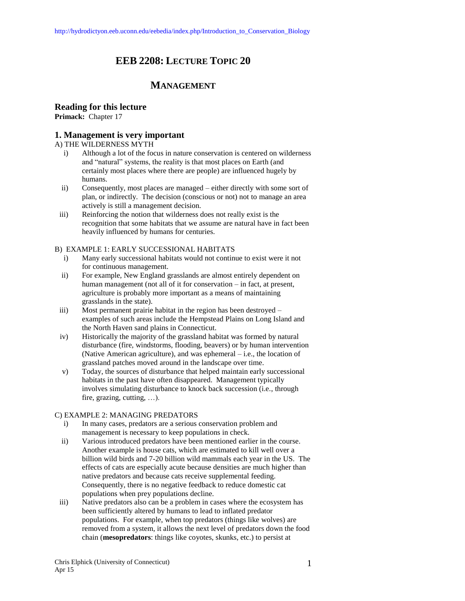# **EEB 2208: LECTURE TOPIC 20**

# **MANAGEMENT**

# **Reading for this lecture**

**Primack:** Chapter 17

# **1. Management is very important**

### A) THE WILDERNESS MYTH

- i) Although a lot of the focus in nature conservation is centered on wilderness and "natural" systems, the reality is that most places on Earth (and certainly most places where there are people) are influenced hugely by humans.
- ii) Consequently, most places are managed either directly with some sort of plan, or indirectly. The decision (conscious or not) not to manage an area actively is still a management decision.
- iii) Reinforcing the notion that wilderness does not really exist is the recognition that some habitats that we assume are natural have in fact been heavily influenced by humans for centuries.

### B) EXAMPLE 1: EARLY SUCCESSIONAL HABITATS

- i) Many early successional habitats would not continue to exist were it not for continuous management.
- ii) For example, New England grasslands are almost entirely dependent on human management (not all of it for conservation – in fact, at present, agriculture is probably more important as a means of maintaining grasslands in the state).
- iii) Most permanent prairie habitat in the region has been destroyed examples of such areas include the Hempstead Plains on Long Island and the North Haven sand plains in Connecticut.
- iv) Historically the majority of the grassland habitat was formed by natural disturbance (fire, windstorms, flooding, beavers) or by human intervention (Native American agriculture), and was ephemeral – i.e., the location of grassland patches moved around in the landscape over time.
- v) Today, the sources of disturbance that helped maintain early successional habitats in the past have often disappeared. Management typically involves simulating disturbance to knock back succession (i.e., through fire, grazing, cutting, …).

### C) EXAMPLE 2: MANAGING PREDATORS

- i) In many cases, predators are a serious conservation problem and management is necessary to keep populations in check.
- ii) Various introduced predators have been mentioned earlier in the course. Another example is house cats, which are estimated to kill well over a billion wild birds and 7-20 billion wild mammals each year in the US. The effects of cats are especially acute because densities are much higher than native predators and because cats receive supplemental feeding. Consequently, there is no negative feedback to reduce domestic cat populations when prey populations decline.
- iii) Native predators also can be a problem in cases where the ecosystem has been sufficiently altered by humans to lead to inflated predator populations. For example, when top predators (things like wolves) are removed from a system, it allows the next level of predators down the food chain (**mesopredators**: things like coyotes, skunks, etc.) to persist at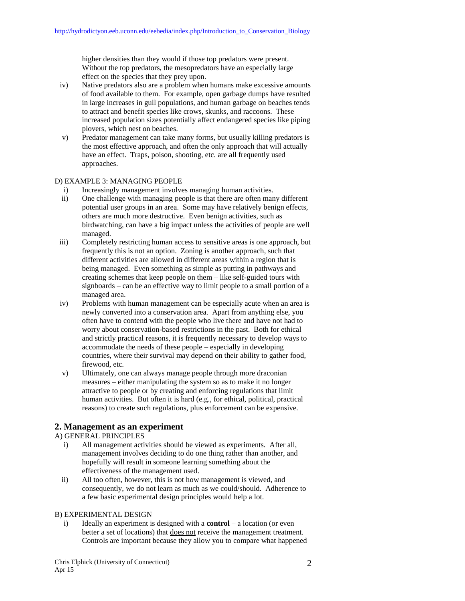higher densities than they would if those top predators were present. Without the top predators, the mesopredators have an especially large effect on the species that they prey upon.

- iv) Native predators also are a problem when humans make excessive amounts of food available to them. For example, open garbage dumps have resulted in large increases in gull populations, and human garbage on beaches tends to attract and benefit species like crows, skunks, and raccoons. These increased population sizes potentially affect endangered species like piping plovers, which nest on beaches.
- v) Predator management can take many forms, but usually killing predators is the most effective approach, and often the only approach that will actually have an effect. Traps, poison, shooting, etc. are all frequently used approaches.

### D) EXAMPLE 3: MANAGING PEOPLE

- i) Increasingly management involves managing human activities.
- ii) One challenge with managing people is that there are often many different potential user groups in an area. Some may have relatively benign effects, others are much more destructive. Even benign activities, such as birdwatching, can have a big impact unless the activities of people are well managed.
- iii) Completely restricting human access to sensitive areas is one approach, but frequently this is not an option. Zoning is another approach, such that different activities are allowed in different areas within a region that is being managed. Even something as simple as putting in pathways and creating schemes that keep people on them – like self-guided tours with signboards – can be an effective way to limit people to a small portion of a managed area.
- iv) Problems with human management can be especially acute when an area is newly converted into a conservation area. Apart from anything else, you often have to contend with the people who live there and have not had to worry about conservation-based restrictions in the past. Both for ethical and strictly practical reasons, it is frequently necessary to develop ways to accommodate the needs of these people – especially in developing countries, where their survival may depend on their ability to gather food, firewood, etc.
- v) Ultimately, one can always manage people through more draconian measures – either manipulating the system so as to make it no longer attractive to people or by creating and enforcing regulations that limit human activities. But often it is hard (e.g., for ethical, political, practical reasons) to create such regulations, plus enforcement can be expensive.

# **2. Management as an experiment**

# A) GENERAL PRINCIPLES

- i) All management activities should be viewed as experiments. After all, management involves deciding to do one thing rather than another, and hopefully will result in someone learning something about the effectiveness of the management used.
- ii) All too often, however, this is not how management is viewed, and consequently, we do not learn as much as we could/should. Adherence to a few basic experimental design principles would help a lot.

### B) EXPERIMENTAL DESIGN

i) Ideally an experiment is designed with a **control** – a location (or even better a set of locations) that does not receive the management treatment. Controls are important because they allow you to compare what happened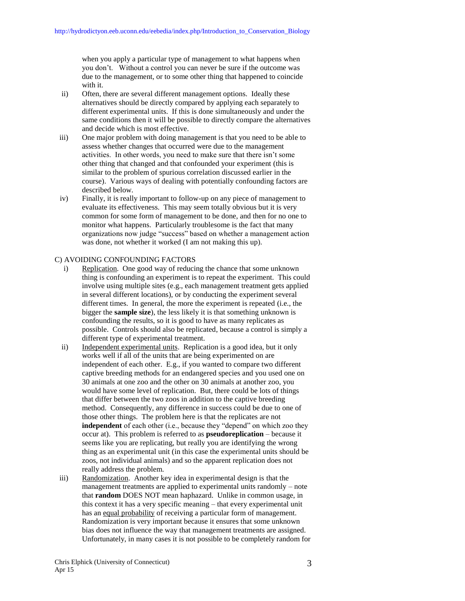when you apply a particular type of management to what happens when you don't. Without a control you can never be sure if the outcome was due to the management, or to some other thing that happened to coincide with it.

- ii) Often, there are several different management options. Ideally these alternatives should be directly compared by applying each separately to different experimental units. If this is done simultaneously and under the same conditions then it will be possible to directly compare the alternatives and decide which is most effective.
- iii) One major problem with doing management is that you need to be able to assess whether changes that occurred were due to the management activities. In other words, you need to make sure that there isn't some other thing that changed and that confounded your experiment (this is similar to the problem of spurious correlation discussed earlier in the course). Various ways of dealing with potentially confounding factors are described below.
- iv) Finally, it is really important to follow-up on any piece of management to evaluate its effectiveness. This may seem totally obvious but it is very common for some form of management to be done, and then for no one to monitor what happens. Particularly troublesome is the fact that many organizations now judge "success" based on whether a management action was done, not whether it worked (I am not making this up).

#### C) AVOIDING CONFOUNDING FACTORS

- i) Replication. One good way of reducing the chance that some unknown thing is confounding an experiment is to repeat the experiment. This could involve using multiple sites (e.g., each management treatment gets applied in several different locations), or by conducting the experiment several different times. In general, the more the experiment is repeated (i.e., the bigger the **sample size**), the less likely it is that something unknown is confounding the results, so it is good to have as many replicates as possible. Controls should also be replicated, because a control is simply a different type of experimental treatment.
- ii) Independent experimental units. Replication is a good idea, but it only works well if all of the units that are being experimented on are independent of each other. E.g., if you wanted to compare two different captive breeding methods for an endangered species and you used one on 30 animals at one zoo and the other on 30 animals at another zoo, you would have some level of replication. But, there could be lots of things that differ between the two zoos in addition to the captive breeding method. Consequently, any difference in success could be due to one of those other things. The problem here is that the replicates are not independent of each other (i.e., because they "depend" on which zoo they occur at). This problem is referred to as **pseudoreplication** – because it seems like you are replicating, but really you are identifying the wrong thing as an experimental unit (in this case the experimental units should be zoos, not individual animals) and so the apparent replication does not really address the problem.
- iii) Randomization. Another key idea in experimental design is that the management treatments are applied to experimental units randomly – note that **random** DOES NOT mean haphazard. Unlike in common usage, in this context it has a very specific meaning – that every experimental unit has an equal probability of receiving a particular form of management. Randomization is very important because it ensures that some unknown bias does not influence the way that management treatments are assigned. Unfortunately, in many cases it is not possible to be completely random for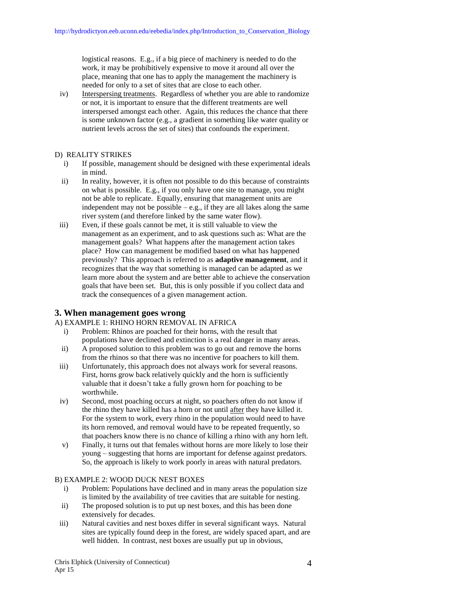logistical reasons. E.g., if a big piece of machinery is needed to do the work, it may be prohibitively expensive to move it around all over the place, meaning that one has to apply the management the machinery is needed for only to a set of sites that are close to each other.

iv) Interspersing treatments. Regardless of whether you are able to randomize or not, it is important to ensure that the different treatments are well interspersed amongst each other. Again, this reduces the chance that there is some unknown factor (e.g., a gradient in something like water quality or nutrient levels across the set of sites) that confounds the experiment.

### D) REALITY STRIKES

- i) If possible, management should be designed with these experimental ideals in mind.
- ii) In reality, however, it is often not possible to do this because of constraints on what is possible. E.g., if you only have one site to manage, you might not be able to replicate. Equally, ensuring that management units are independent may not be possible  $-e.g.,$  if they are all lakes along the same river system (and therefore linked by the same water flow).
- iii) Even, if these goals cannot be met, it is still valuable to view the management as an experiment, and to ask questions such as: What are the management goals? What happens after the management action takes place? How can management be modified based on what has happened previously? This approach is referred to as **adaptive management**, and it recognizes that the way that something is managed can be adapted as we learn more about the system and are better able to achieve the conservation goals that have been set. But, this is only possible if you collect data and track the consequences of a given management action.

# **3. When management goes wrong**

A) EXAMPLE 1: RHINO HORN REMOVAL IN AFRICA

- i) Problem: Rhinos are poached for their horns, with the result that populations have declined and extinction is a real danger in many areas.
- ii) A proposed solution to this problem was to go out and remove the horns from the rhinos so that there was no incentive for poachers to kill them.
- iii) Unfortunately, this approach does not always work for several reasons. First, horns grow back relatively quickly and the horn is sufficiently valuable that it doesn't take a fully grown horn for poaching to be worthwhile.
- iv) Second, most poaching occurs at night, so poachers often do not know if the rhino they have killed has a horn or not until after they have killed it. For the system to work, every rhino in the population would need to have its horn removed, and removal would have to be repeated frequently, so that poachers know there is no chance of killing a rhino with any horn left.
- v) Finally, it turns out that females without horns are more likely to lose their young – suggesting that horns are important for defense against predators. So, the approach is likely to work poorly in areas with natural predators.

## B) EXAMPLE 2: WOOD DUCK NEST BOXES

- i) Problem: Populations have declined and in many areas the population size is limited by the availability of tree cavities that are suitable for nesting.
- ii) The proposed solution is to put up nest boxes, and this has been done extensively for decades.
- iii) Natural cavities and nest boxes differ in several significant ways. Natural sites are typically found deep in the forest, are widely spaced apart, and are well hidden. In contrast, nest boxes are usually put up in obvious,